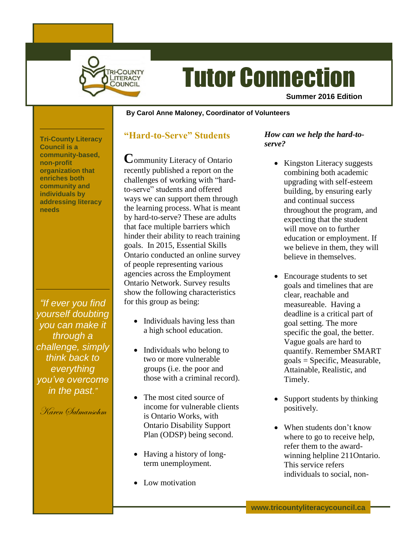

# Tutor Connection

**Summer 2016 Edition**

#### **By Carol Anne Maloney, Coordinator of Volunteers**

**Tri-County Literacy Council is a community-based, non-profit organization that enriches both community and individuals by addressing literacy needs**

*"If ever you find yourself doubting you can make it through a challenge, simply think back to everything you've overcome in the past."*

Karen Salmansohm

#### **"Hard-to-Serve" Students**

**C**ommunity Literacy of Ontario recently published a report on the challenges of working with "hardto-serve" students and offered ways we can support them through the learning process. What is meant by hard-to-serve? These are adults that face multiple barriers which hinder their ability to reach training goals. In 2015, Essential Skills Ontario conducted an online survey of people representing various agencies across the Employment Ontario Network. Survey results show the following characteristics for this group as being:

- Individuals having less than a high school education.
- Individuals who belong to two or more vulnerable groups (i.e. the poor and those with a criminal record).
- The most cited source of income for vulnerable clients is Ontario Works, with Ontario Disability Support Plan (ODSP) being second.
- Having a history of longterm unemployment.
- Low motivation

#### *How can we help the hard-toserve?*

- Kingston Literacy suggests combining both academic upgrading with self-esteem building, by ensuring early and continual success throughout the program, and expecting that the student will move on to further education or employment. If we believe in them, they will believe in themselves.
- Encourage students to set goals and timelines that are clear, reachable and measureable. Having a deadline is a critical part of goal setting. The more specific the goal, the better. Vague goals are hard to quantify. Remember SMART goals = Specific, Measurable, Attainable, Realistic, and Timely.
- Support students by thinking positively.
- When students don't know where to go to receive help, refer them to the awardwinning helpline 211Ontario. This service refers individuals to social, non-